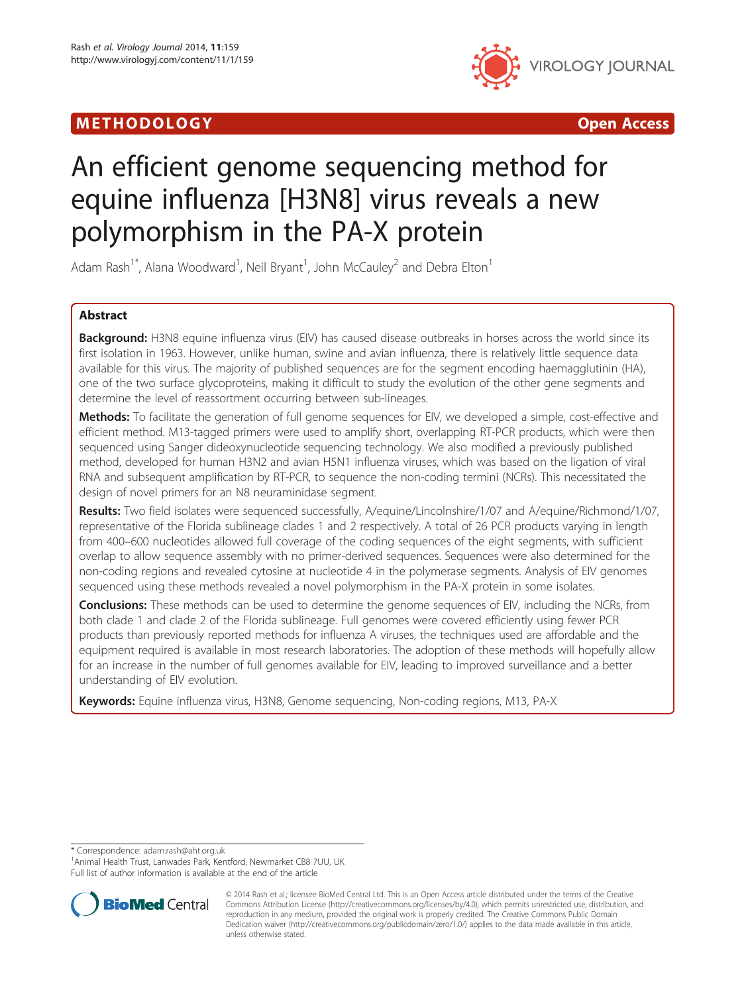# METHODOLOGY CONTROLLER CONTROLLER CONTROLLER CONTROLLER CONTROLLER CONTROLLER CONTROLLER CONTROLLER CONTROLLER



# An efficient genome sequencing method for equine influenza [H3N8] virus reveals a new polymorphism in the PA-X protein

Adam Rash<sup>1\*</sup>, Alana Woodward<sup>1</sup>, Neil Bryant<sup>1</sup>, John McCauley<sup>2</sup> and Debra Elton<sup>1</sup>

# Abstract

Background: H3N8 equine influenza virus (EIV) has caused disease outbreaks in horses across the world since its first isolation in 1963. However, unlike human, swine and avian influenza, there is relatively little sequence data available for this virus. The majority of published sequences are for the segment encoding haemagglutinin (HA), one of the two surface glycoproteins, making it difficult to study the evolution of the other gene segments and determine the level of reassortment occurring between sub-lineages.

**Methods:** To facilitate the generation of full genome sequences for EIV, we developed a simple, cost-effective and efficient method. M13-tagged primers were used to amplify short, overlapping RT-PCR products, which were then sequenced using Sanger dideoxynucleotide sequencing technology. We also modified a previously published method, developed for human H3N2 and avian H5N1 influenza viruses, which was based on the ligation of viral RNA and subsequent amplification by RT-PCR, to sequence the non-coding termini (NCRs). This necessitated the design of novel primers for an N8 neuraminidase segment.

Results: Two field isolates were sequenced successfully, A/equine/Lincolnshire/1/07 and A/equine/Richmond/1/07, representative of the Florida sublineage clades 1 and 2 respectively. A total of 26 PCR products varying in length from 400–600 nucleotides allowed full coverage of the coding sequences of the eight segments, with sufficient overlap to allow sequence assembly with no primer-derived sequences. Sequences were also determined for the non-coding regions and revealed cytosine at nucleotide 4 in the polymerase segments. Analysis of EIV genomes sequenced using these methods revealed a novel polymorphism in the PA-X protein in some isolates.

**Conclusions:** These methods can be used to determine the genome sequences of EIV, including the NCRs, from both clade 1 and clade 2 of the Florida sublineage. Full genomes were covered efficiently using fewer PCR products than previously reported methods for influenza A viruses, the techniques used are affordable and the equipment required is available in most research laboratories. The adoption of these methods will hopefully allow for an increase in the number of full genomes available for EIV, leading to improved surveillance and a better understanding of EIV evolution.

Keywords: Equine influenza virus, H3N8, Genome sequencing, Non-coding regions, M13, PA-X

\* Correspondence: [adam.rash@aht.org.uk](mailto:adam.rash@aht.org.uk) <sup>1</sup>

<sup>1</sup> Animal Health Trust, Lanwades Park, Kentford, Newmarket CB8 7UU, UK Full list of author information is available at the end of the article



<sup>© 2014</sup> Rash et al.; licensee BioMed Central Ltd. This is an Open Access article distributed under the terms of the Creative Commons Attribution License [\(http://creativecommons.org/licenses/by/4.0\)](http://creativecommons.org/licenses/by/4.0), which permits unrestricted use, distribution, and reproduction in any medium, provided the original work is properly credited. The Creative Commons Public Domain Dedication waiver [\(http://creativecommons.org/publicdomain/zero/1.0/](http://creativecommons.org/publicdomain/zero/1.0/)) applies to the data made available in this article, unless otherwise stated.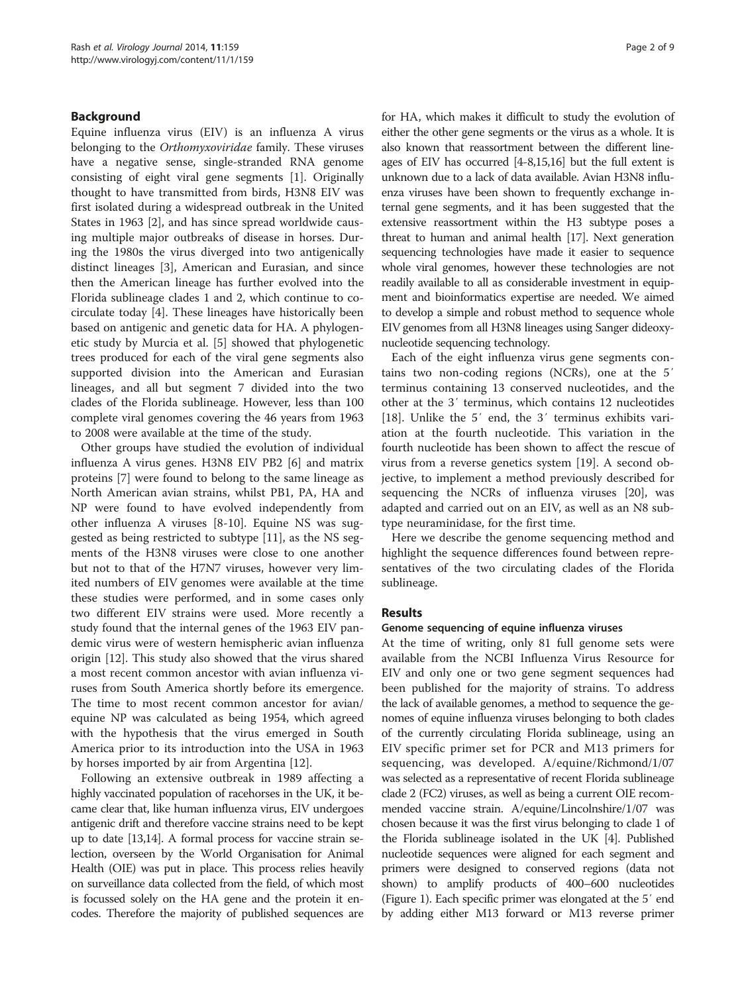#### Background

Equine influenza virus (EIV) is an influenza A virus belonging to the Orthomyxoviridae family. These viruses have a negative sense, single-stranded RNA genome consisting of eight viral gene segments [[1\]](#page-8-0). Originally thought to have transmitted from birds, H3N8 EIV was first isolated during a widespread outbreak in the United States in 1963 [\[2\]](#page-8-0), and has since spread worldwide causing multiple major outbreaks of disease in horses. During the 1980s the virus diverged into two antigenically distinct lineages [[3\]](#page-8-0), American and Eurasian, and since then the American lineage has further evolved into the Florida sublineage clades 1 and 2, which continue to cocirculate today [[4\]](#page-8-0). These lineages have historically been based on antigenic and genetic data for HA. A phylogenetic study by Murcia et al. [\[5](#page-8-0)] showed that phylogenetic trees produced for each of the viral gene segments also supported division into the American and Eurasian lineages, and all but segment 7 divided into the two clades of the Florida sublineage. However, less than 100 complete viral genomes covering the 46 years from 1963 to 2008 were available at the time of the study.

Other groups have studied the evolution of individual influenza A virus genes. H3N8 EIV PB2 [[6\]](#page-8-0) and matrix proteins [\[7](#page-8-0)] were found to belong to the same lineage as North American avian strains, whilst PB1, PA, HA and NP were found to have evolved independently from other influenza A viruses [\[8](#page-8-0)-[10\]](#page-8-0). Equine NS was suggested as being restricted to subtype [[11\]](#page-8-0), as the NS segments of the H3N8 viruses were close to one another but not to that of the H7N7 viruses, however very limited numbers of EIV genomes were available at the time these studies were performed, and in some cases only two different EIV strains were used. More recently a study found that the internal genes of the 1963 EIV pandemic virus were of western hemispheric avian influenza origin [\[12\]](#page-8-0). This study also showed that the virus shared a most recent common ancestor with avian influenza viruses from South America shortly before its emergence. The time to most recent common ancestor for avian/ equine NP was calculated as being 1954, which agreed with the hypothesis that the virus emerged in South America prior to its introduction into the USA in 1963 by horses imported by air from Argentina [\[12](#page-8-0)].

Following an extensive outbreak in 1989 affecting a highly vaccinated population of racehorses in the UK, it became clear that, like human influenza virus, EIV undergoes antigenic drift and therefore vaccine strains need to be kept up to date [\[13,14\]](#page-8-0). A formal process for vaccine strain selection, overseen by the World Organisation for Animal Health (OIE) was put in place. This process relies heavily on surveillance data collected from the field, of which most is focussed solely on the HA gene and the protein it encodes. Therefore the majority of published sequences are for HA, which makes it difficult to study the evolution of either the other gene segments or the virus as a whole. It is also known that reassortment between the different lineages of EIV has occurred [\[4-8,15,16\]](#page-8-0) but the full extent is unknown due to a lack of data available. Avian H3N8 influenza viruses have been shown to frequently exchange internal gene segments, and it has been suggested that the extensive reassortment within the H3 subtype poses a threat to human and animal health [\[17\]](#page-8-0). Next generation sequencing technologies have made it easier to sequence whole viral genomes, however these technologies are not readily available to all as considerable investment in equipment and bioinformatics expertise are needed. We aimed to develop a simple and robust method to sequence whole EIV genomes from all H3N8 lineages using Sanger dideoxynucleotide sequencing technology.

Each of the eight influenza virus gene segments contains two non-coding regions (NCRs), one at the 5′ terminus containing 13 conserved nucleotides, and the other at the 3′ terminus, which contains 12 nucleotides [[18\]](#page-8-0). Unlike the 5' end, the 3' terminus exhibits variation at the fourth nucleotide. This variation in the fourth nucleotide has been shown to affect the rescue of virus from a reverse genetics system [\[19](#page-8-0)]. A second objective, to implement a method previously described for sequencing the NCRs of influenza viruses [[20\]](#page-8-0), was adapted and carried out on an EIV, as well as an N8 subtype neuraminidase, for the first time.

Here we describe the genome sequencing method and highlight the sequence differences found between representatives of the two circulating clades of the Florida sublineage.

#### Results

#### Genome sequencing of equine influenza viruses

At the time of writing, only 81 full genome sets were available from the NCBI Influenza Virus Resource for EIV and only one or two gene segment sequences had been published for the majority of strains. To address the lack of available genomes, a method to sequence the genomes of equine influenza viruses belonging to both clades of the currently circulating Florida sublineage, using an EIV specific primer set for PCR and M13 primers for sequencing, was developed. A/equine/Richmond/1/07 was selected as a representative of recent Florida sublineage clade 2 (FC2) viruses, as well as being a current OIE recommended vaccine strain. A/equine/Lincolnshire/1/07 was chosen because it was the first virus belonging to clade 1 of the Florida sublineage isolated in the UK [[4](#page-8-0)]. Published nucleotide sequences were aligned for each segment and primers were designed to conserved regions (data not shown) to amplify products of 400–600 nucleotides (Figure [1\)](#page-2-0). Each specific primer was elongated at the 5′ end by adding either M13 forward or M13 reverse primer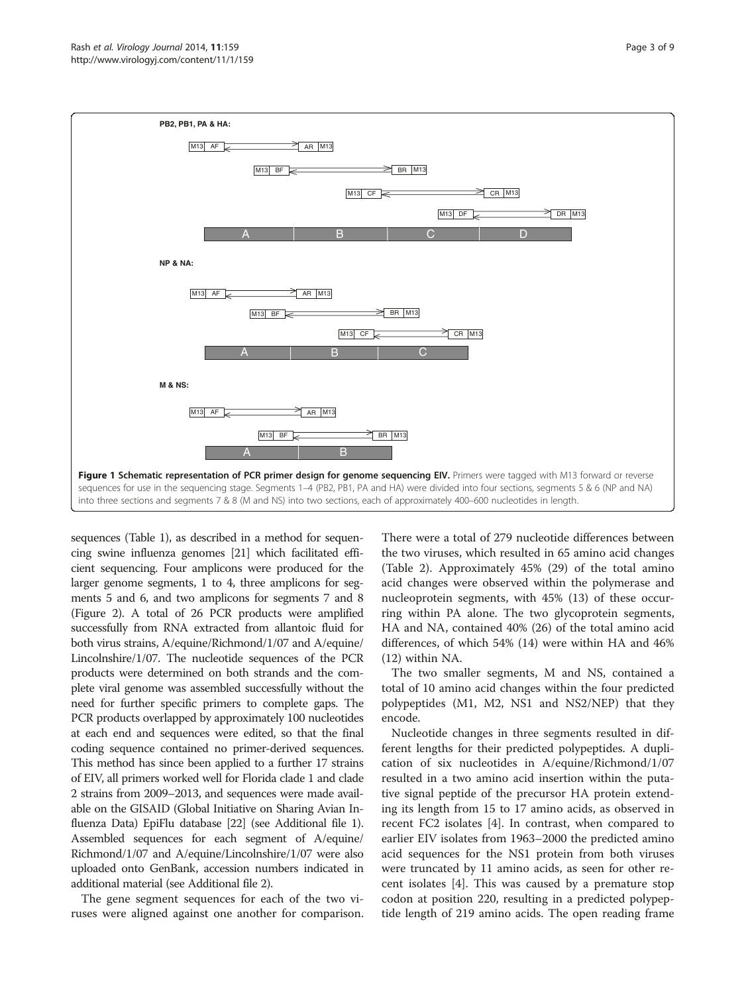<span id="page-2-0"></span>

sequences (Table [1\)](#page-3-0), as described in a method for sequencing swine influenza genomes [\[21\]](#page-8-0) which facilitated efficient sequencing. Four amplicons were produced for the larger genome segments, 1 to 4, three amplicons for segments 5 and 6, and two amplicons for segments 7 and 8 (Figure [2](#page-4-0)). A total of 26 PCR products were amplified successfully from RNA extracted from allantoic fluid for both virus strains, A/equine/Richmond/1/07 and A/equine/ Lincolnshire/1/07. The nucleotide sequences of the PCR products were determined on both strands and the complete viral genome was assembled successfully without the need for further specific primers to complete gaps. The PCR products overlapped by approximately 100 nucleotides at each end and sequences were edited, so that the final coding sequence contained no primer-derived sequences. This method has since been applied to a further 17 strains of EIV, all primers worked well for Florida clade 1 and clade 2 strains from 2009–2013, and sequences were made available on the GISAID (Global Initiative on Sharing Avian Influenza Data) EpiFlu database [\[22](#page-8-0)] (see Additional file [1](#page-8-0)). Assembled sequences for each segment of A/equine/ Richmond/1/07 and A/equine/Lincolnshire/1/07 were also uploaded onto GenBank, accession numbers indicated in additional material (see Additional file [2](#page-8-0)).

The gene segment sequences for each of the two viruses were aligned against one another for comparison.

There were a total of 279 nucleotide differences between the two viruses, which resulted in 65 amino acid changes (Table [2\)](#page-5-0). Approximately 45% (29) of the total amino acid changes were observed within the polymerase and nucleoprotein segments, with 45% (13) of these occurring within PA alone. The two glycoprotein segments, HA and NA, contained 40% (26) of the total amino acid differences, of which 54% (14) were within HA and 46% (12) within NA.

The two smaller segments, M and NS, contained a total of 10 amino acid changes within the four predicted polypeptides (M1, M2, NS1 and NS2/NEP) that they encode.

Nucleotide changes in three segments resulted in different lengths for their predicted polypeptides. A duplication of six nucleotides in A/equine/Richmond/1/07 resulted in a two amino acid insertion within the putative signal peptide of the precursor HA protein extending its length from 15 to 17 amino acids, as observed in recent FC2 isolates [\[4](#page-8-0)]. In contrast, when compared to earlier EIV isolates from 1963–2000 the predicted amino acid sequences for the NS1 protein from both viruses were truncated by 11 amino acids, as seen for other recent isolates [[4\]](#page-8-0). This was caused by a premature stop codon at position 220, resulting in a predicted polypeptide length of 219 amino acids. The open reading frame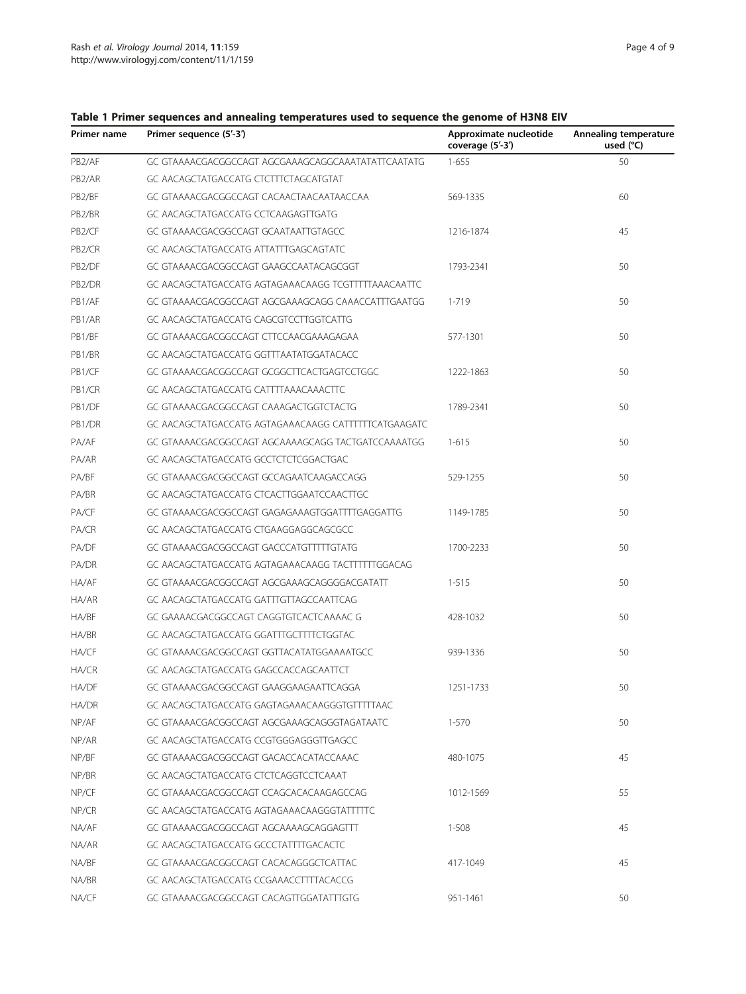| Primer name         | Primer sequence (5'-3')                              | Approximate nucleotide<br>coverage (5'-3') | Annealing temperature<br>used $(^{\circ}C)$ |  |
|---------------------|------------------------------------------------------|--------------------------------------------|---------------------------------------------|--|
| PB <sub>2</sub> /AF | GC GTAAAACGACGGCCAGT AGCGAAAGCAGGCAAATATATTCAATATG   | $1 - 655$                                  | 50                                          |  |
| PB <sub>2</sub> /AR | GC AACAGCTATGACCATG CTCTTTCTAGCATGTAT                |                                            |                                             |  |
| PB2/BF              | GC GTAAAACGACGGCCAGT CACAACTAACAATAACCAA             | 60<br>569-1335                             |                                             |  |
| PB2/BR              | GC AACAGCTATGACCATG CCTCAAGAGTTGATG                  |                                            |                                             |  |
| PB <sub>2</sub> /CF | GC GTAAAACGACGGCCAGT GCAATAATTGTAGCC                 | 1216-1874                                  | 45                                          |  |
| PB <sub>2</sub> /CR | GC AACAGCTATGACCATG ATTATTTGAGCAGTATC                |                                            |                                             |  |
| PB2/DF              | GC GTAAAACGACGGCCAGT GAAGCCAATACAGCGGT               | 1793-2341                                  | 50                                          |  |
| PB2/DR              | GC AACAGCTATGACCATG AGTAGAAACAAGG TCGTTTTTAAACAATTC  |                                            |                                             |  |
| PB1/AF              | GC GTAAAACGACGGCCAGT AGCGAAAGCAGG CAAACCATTTGAATGG   | $1 - 719$                                  | 50                                          |  |
| PB1/AR              | GC AACAGCTATGACCATG CAGCGTCCTTGGTCATTG               |                                            |                                             |  |
| PB1/BF              | GC GTAAAACGACGGCCAGT CTTCCAACGAAAGAGAA               | 577-1301                                   | 50                                          |  |
| PB1/BR              | GC AACAGCTATGACCATG GGTTTAATATGGATACACC              |                                            |                                             |  |
| PB1/CF              | GC GTAAAACGACGGCCAGT GCGGCTTCACTGAGTCCTGGC           | 1222-1863                                  | 50                                          |  |
| PB1/CR              | GC AACAGCTATGACCATG CATTTTAAACAAACTTC                |                                            |                                             |  |
| PB1/DF              | GC GTAAAACGACGGCCAGT CAAAGACTGGTCTACTG               | 1789-2341                                  | 50                                          |  |
| PB1/DR              | GC AACAGCTATGACCATG AGTAGAAACAAGG CATTTTTTCATGAAGATC |                                            |                                             |  |
| PA/AF               | GC GTAAAACGACGGCCAGT AGCAAAAGCAGG TACTGATCCAAAATGG   | $1 - 615$                                  | 50                                          |  |
| PA/AR               | GC AACAGCTATGACCATG GCCTCTCTCGGACTGAC                |                                            |                                             |  |
| PA/BF               | GC GTAAAACGACGGCCAGT GCCAGAATCAAGACCAGG              | 529-1255                                   | 50                                          |  |
| PA/BR               | GC AACAGCTATGACCATG CTCACTTGGAATCCAACTTGC            |                                            |                                             |  |
| PA/CF               | GC GTAAAACGACGGCCAGT GAGAGAAAGTGGATTTTGAGGATTG       | 1149-1785                                  | 50                                          |  |
| PA/CR               | GC AACAGCTATGACCATG CTGAAGGAGGCAGCGCC                |                                            |                                             |  |
| PA/DF               | GC GTAAAACGACGGCCAGT GACCCATGTTTTGTATG               | 1700-2233                                  | 50                                          |  |
| PA/DR               | GC AACAGCTATGACCATG AGTAGAAACAAGG TACTTTTTTGGACAG    |                                            |                                             |  |
| HA/AF               | GC GTAAAACGACGGCCAGT AGCGAAAGCAGGGGACGATATT          | $1 - 515$                                  | 50                                          |  |
| HA/AR               | GC AACAGCTATGACCATG GATTTGTTAGCCAATTCAG              |                                            |                                             |  |
| HA/BF               | GC GAAAACGACGGCCAGT CAGGTGTCACTCAAAAC G              | 428-1032                                   | 50                                          |  |
| HA/BR               | GC AACAGCTATGACCATG GGATTTGCTTTTCTGGTAC              |                                            |                                             |  |
| HA/CF               | GC GTAAAACGACGGCCAGT GGTTACATATGGAAAATGCC            | 939-1336                                   | 50                                          |  |
| HA/CR               | GC AACAGCTATGACCATG GAGCCACCAGCAATTCT                |                                            |                                             |  |
| HA/DF               | GC GTAAAACGACGGCCAGT GAAGGAAGAATTCAGGA               | 1251-1733                                  | 50                                          |  |
| HA/DR               | GC AACAGCTATGACCATG GAGTAGAAACAAGGGTGTTTTTAAC        |                                            |                                             |  |
| NP/AF               | GC GTAAAACGACGGCCAGT AGCGAAAGCAGGGTAGATAATC          | $1 - 570$                                  | 50                                          |  |
| NP/AR               | GC AACAGCTATGACCATG CCGTGGGAGGGTTGAGCC               |                                            |                                             |  |
| NP/BF               | GC GTAAAACGACGGCCAGT GACACCACATACCAAAC               | 480-1075                                   | 45                                          |  |
| NP/BR               | GC AACAGCTATGACCATG CTCTCAGGTCCTCAAAT                |                                            |                                             |  |
| NP/CF               | GC GTAAAACGACGGCCAGT CCAGCACACAAGAGCCAG              | 1012-1569                                  | 55                                          |  |
| NP/CR               | GC AACAGCTATGACCATG AGTAGAAACAAGGGTATTTTC            |                                            |                                             |  |
| NA/AF               | GC GTAAAACGACGGCCAGT AGCAAAAGCAGGAGTTT               | $1 - 508$                                  | 45                                          |  |
| NA/AR               | GC AACAGCTATGACCATG GCCCTATTTTGACACTC                |                                            |                                             |  |
| NA/BF               | GC GTAAAACGACGGCCAGT CACACAGGGCTCATTAC               | 417-1049                                   | 45                                          |  |
| NA/BR               | GC AACAGCTATGACCATG CCGAAACCTTTTACACCG               |                                            |                                             |  |
| NA/CF               | GC GTAAAACGACGGCCAGT CACAGTTGGATATTTGTG              | 951-1461                                   | 50                                          |  |

# <span id="page-3-0"></span>Table 1 Primer sequences and annealing temperatures used to sequence the genome of H3N8 EIV<br>Primer nearest Driver sequence (F/2)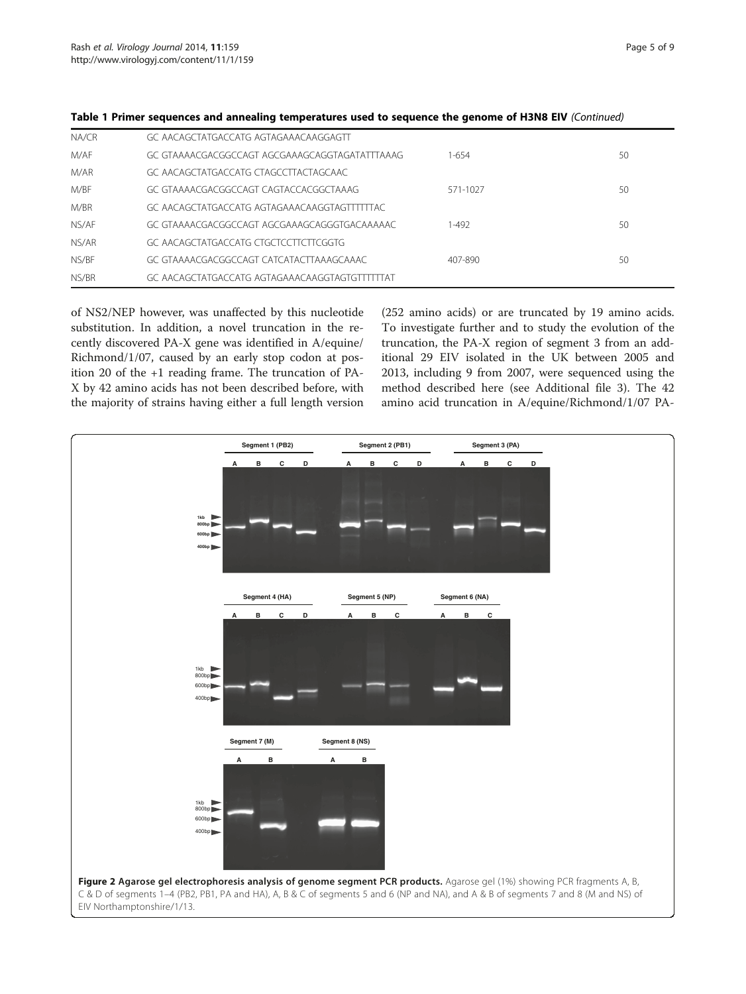| NA/CR | GC AACAGCTATGACCATG AGTAGAAACAAGGAGTT          |           |    |
|-------|------------------------------------------------|-----------|----|
| M/AF  | GC GTAAAACGACGGCCAGT AGCGAAAGCAGGTAGATATTTAAAG | $1 - 654$ | 50 |
| M/AR  | GC AACAGCTATGACCATG CTAGCCTTACTAGCAAC          |           |    |
| M/BF  | GC GTAAAACGACGGCCAGT CAGTACCACGGCTAAAG         | 571-1027  | 50 |
| M/BR  | GC AACAGCTATGACCATG AGTAGAAACAAGGTAGTTTTTAC    |           |    |
| NS/AF | GC GTAAAACGACGGCCAGT AGCGAAAGCAGGGTGACAAAAAC   | 1-492     | 50 |
| NS/AR | GC AACAGCTATGACCATG CTGCTCCTTCTTCGGTG          |           |    |
| NS/BF | GC GTAAAACGACGGCCAGT CATCATACTTAAAGCAAAC       | 407-890   | 50 |
| NS/BR | GC AACAGCTATGACCATG AGTAGAAACAAGGTAGTGTTTTTAT  |           |    |

<span id="page-4-0"></span>

|  |  | Table 1 Primer sequences and annealing temperatures used to sequence the genome of H3N8 EIV (Continued) |  |  |
|--|--|---------------------------------------------------------------------------------------------------------|--|--|
|--|--|---------------------------------------------------------------------------------------------------------|--|--|

of NS2/NEP however, was unaffected by this nucleotide substitution. In addition, a novel truncation in the recently discovered PA-X gene was identified in A/equine/ Richmond/1/07, caused by an early stop codon at position 20 of the +1 reading frame. The truncation of PA-X by 42 amino acids has not been described before, with the majority of strains having either a full length version

(252 amino acids) or are truncated by 19 amino acids. To investigate further and to study the evolution of the truncation, the PA-X region of segment 3 from an additional 29 EIV isolated in the UK between 2005 and 2013, including 9 from 2007, were sequenced using the method described here (see Additional file [3\)](#page-8-0). The 42 amino acid truncation in A/equine/Richmond/1/07 PA-

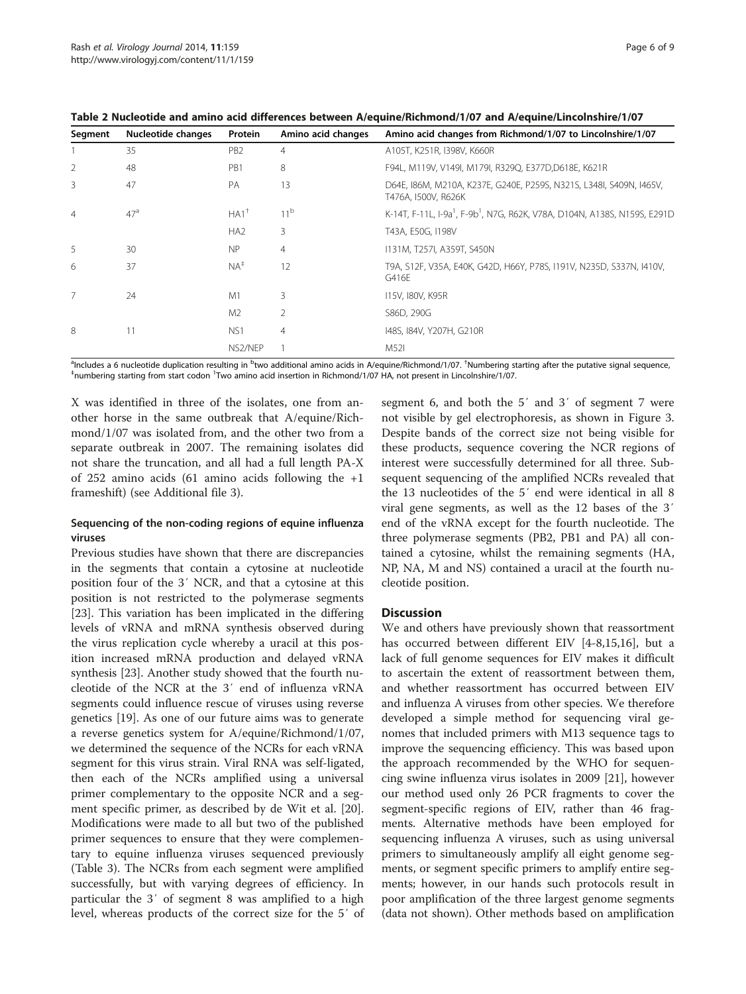| Segment | Nucleotide changes | Protein            | Amino acid changes | Amino acid changes from Richmond/1/07 to Lincolnshire/1/07                                        |
|---------|--------------------|--------------------|--------------------|---------------------------------------------------------------------------------------------------|
|         | 35                 | P <sub>B2</sub>    | 4                  | A105T, K251R, I398V, K660R                                                                        |
| 2       | 48                 | PB1                | 8                  | F94L, M119V, V149I, M179I, R329Q, E377D, D618E, K621R                                             |
| 3       | 47                 | <b>PA</b>          | 13                 | D64E, 186M, M210A, K237E, G240E, P259S, N321S, L348I, S409N, 1465V,<br>T476A, I500V, R626K        |
| 4       | 47 <sup>a</sup>    | $HA1$ <sup>+</sup> | 11 <sup>b</sup>    | K-14T, F-11L, I-9a <sup>1</sup> , F-9b <sup>1</sup> , N7G, R62K, V78A, D104N, A138S, N159S, E291D |
|         |                    | HA <sub>2</sub>    | 3                  | T43A, E50G, I198V                                                                                 |
| 5       | 30                 | NP                 | 4                  | 1131M, T257I, A359T, S450N                                                                        |
| 6       | 37                 | $NA^{\ddagger}$    | 12                 | T9A, S12F, V35A, E40K, G42D, H66Y, P78S, I191V, N235D, S337N, I410V,<br>G416E                     |
| 7       | 24                 | M1                 | 3                  | 115V, 180V, K95R                                                                                  |
|         |                    | M <sub>2</sub>     | 2                  | S86D, 290G                                                                                        |
| 8       | 11                 | NS <sub>1</sub>    | 4                  | 148S, 184V, Y207H, G210R                                                                          |
|         |                    | NS2/NEP            |                    | M52I                                                                                              |

<span id="page-5-0"></span>Table 2 Nucleotide and amino acid differences between A/equine/Richmond/1/07 and A/equine/Lincolnshire/1/07

<sup>a</sup>Includes a 6 nucleotide duplication resulting in <sup>b</sup>two additional amino acids in A/equine/Richmond/1/07. <sup>†</sup>Numbering starting after the putative signal sequence,<br>‡wywhoring starting from start coden. <sup>1</sup>Two amino acid numbering starting from start codon <sup>1</sup>Two amino acid insertion in Richmond/1/07 HA, not present in Lincolnshire/1/07.

X was identified in three of the isolates, one from another horse in the same outbreak that A/equine/Richmond/1/07 was isolated from, and the other two from a separate outbreak in 2007. The remaining isolates did not share the truncation, and all had a full length PA-X of 252 amino acids (61 amino acids following the +1 frameshift) (see Additional file [3\)](#page-8-0).

# Sequencing of the non-coding regions of equine influenza viruses

Previous studies have shown that there are discrepancies in the segments that contain a cytosine at nucleotide position four of the 3′ NCR, and that a cytosine at this position is not restricted to the polymerase segments [[23\]](#page-8-0). This variation has been implicated in the differing levels of vRNA and mRNA synthesis observed during the virus replication cycle whereby a uracil at this position increased mRNA production and delayed vRNA synthesis [\[23](#page-8-0)]. Another study showed that the fourth nucleotide of the NCR at the 3′ end of influenza vRNA segments could influence rescue of viruses using reverse genetics [\[19\]](#page-8-0). As one of our future aims was to generate a reverse genetics system for A/equine/Richmond/1/07, we determined the sequence of the NCRs for each vRNA segment for this virus strain. Viral RNA was self-ligated, then each of the NCRs amplified using a universal primer complementary to the opposite NCR and a segment specific primer, as described by de Wit et al. [\[20](#page-8-0)]. Modifications were made to all but two of the published primer sequences to ensure that they were complementary to equine influenza viruses sequenced previously (Table [3](#page-6-0)). The NCRs from each segment were amplified successfully, but with varying degrees of efficiency. In particular the 3′ of segment 8 was amplified to a high level, whereas products of the correct size for the 5′ of

segment 6, and both the 5′ and 3′ of segment 7 were not visible by gel electrophoresis, as shown in Figure [3](#page-6-0). Despite bands of the correct size not being visible for these products, sequence covering the NCR regions of interest were successfully determined for all three. Subsequent sequencing of the amplified NCRs revealed that the 13 nucleotides of the 5′ end were identical in all 8 viral gene segments, as well as the 12 bases of the 3′ end of the vRNA except for the fourth nucleotide. The three polymerase segments (PB2, PB1 and PA) all contained a cytosine, whilst the remaining segments (HA, NP, NA, M and NS) contained a uracil at the fourth nucleotide position.

# **Discussion**

We and others have previously shown that reassortment has occurred between different EIV [[4-8,15,16\]](#page-8-0), but a lack of full genome sequences for EIV makes it difficult to ascertain the extent of reassortment between them, and whether reassortment has occurred between EIV and influenza A viruses from other species. We therefore developed a simple method for sequencing viral genomes that included primers with M13 sequence tags to improve the sequencing efficiency. This was based upon the approach recommended by the WHO for sequencing swine influenza virus isolates in 2009 [[21\]](#page-8-0), however our method used only 26 PCR fragments to cover the segment-specific regions of EIV, rather than 46 fragments. Alternative methods have been employed for sequencing influenza A viruses, such as using universal primers to simultaneously amplify all eight genome segments, or segment specific primers to amplify entire segments; however, in our hands such protocols result in poor amplification of the three largest genome segments (data not shown). Other methods based on amplification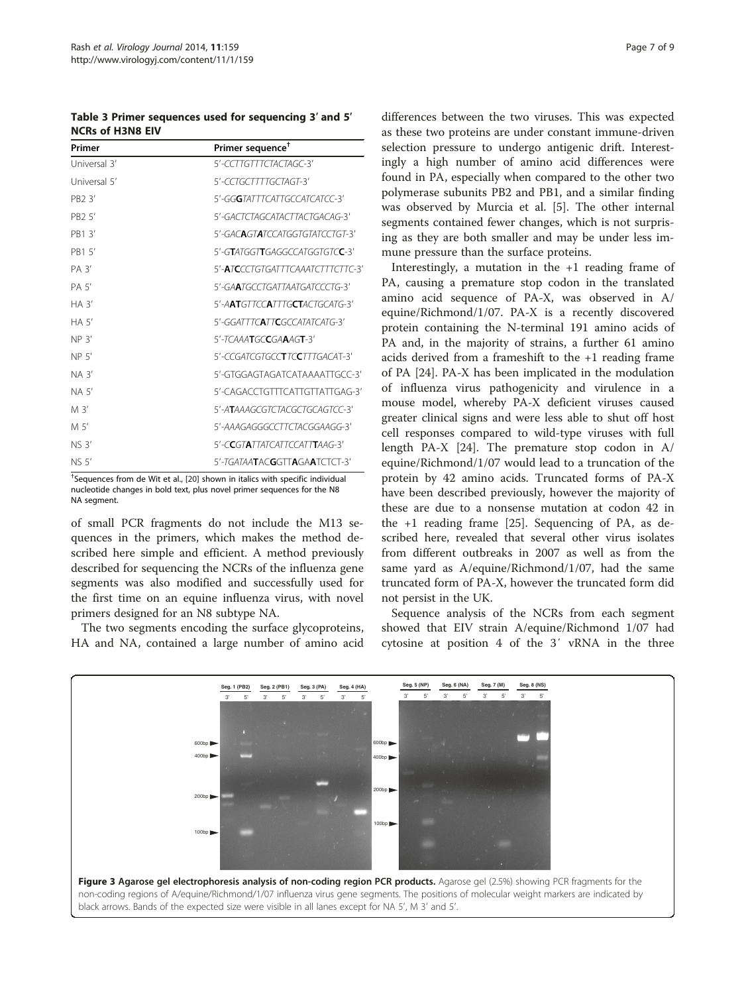<span id="page-6-0"></span>Table 3 Primer sequences used for sequencing 3′ and 5′ NCRs of H3N8 EIV

| Primer             | Primer sequence <sup>+</sup>                    |
|--------------------|-------------------------------------------------|
| Universal 3'       | 5'-CCTTGTTTCTACTAGC-3'                          |
| Universal 5'       | 5'-CCTGCTTTTGCTAGT-3'                           |
| PB2 3'             | 5'-GG <b>G</b> TATTTCATTGCCATCATCC-3'           |
| PB <sub>2</sub> 5' | 5'-GACTCTAGCATACTTACTGACAG-3'                   |
| PB1 3'             | 5'-GACAGTATCCATGGTGTATCCTGT-3'                  |
| PB1 5'             | 5'-GTATGGTTGAGGCCATGGTGTCC-3'                   |
| PA 3'              | 5'-ATCCCTGTGATTTCAAATCTTTCTTC-3'                |
| PA 5'              | 5'-GAATGCCTGATTAATGATCCCTG-3'                   |
| $HA$ 3'            | 5'-AATGIICCAIIIGCTACIGCAIG-3'                   |
| HA 5'              | 5'-GGATTTCATTCGCCATATCATG-3'                    |
| NP 3'              | $5'$ -TCAAATGCCGAAAGT-3'                        |
| NP <sub>5</sub>    | 5'-CCGATCGTGCC <b>T</b> TC <b>C</b> TTTGACAT-3' |
| $NA$ $3'$          | 5'-GTGGAGTAGATCATAAAATTGCC-3'                   |
| NA 5'              | 5'-CAGACCTGTTTCATTGTTATTGAG-3'                  |
| M 3'               | 5'-ATAAAGCGTCTACGCTGCAGTCC-3'                   |
| M 5'               | 5'-AAAGAGGGCCTTCTACGGAAGG-3'                    |
| <b>NS 3'</b>       | 5'-CCGTATTATCATTCCATTTAAG-3'                    |
| NS 5'              | 5'-TGATAATACGGTTAGAATCTCT-3'                    |

† Sequences from de Wit et al., [\[20](#page-8-0)] shown in italics with specific individual nucleotide changes in bold text, plus novel primer sequences for the N8 NA segment.

of small PCR fragments do not include the M13 sequences in the primers, which makes the method described here simple and efficient. A method previously described for sequencing the NCRs of the influenza gene segments was also modified and successfully used for the first time on an equine influenza virus, with novel primers designed for an N8 subtype NA.

The two segments encoding the surface glycoproteins, HA and NA, contained a large number of amino acid differences between the two viruses. This was expected as these two proteins are under constant immune-driven selection pressure to undergo antigenic drift. Interestingly a high number of amino acid differences were found in PA, especially when compared to the other two polymerase subunits PB2 and PB1, and a similar finding was observed by Murcia et al. [\[5](#page-8-0)]. The other internal segments contained fewer changes, which is not surprising as they are both smaller and may be under less immune pressure than the surface proteins.

Interestingly, a mutation in the +1 reading frame of PA, causing a premature stop codon in the translated amino acid sequence of PA-X, was observed in A/ equine/Richmond/1/07. PA-X is a recently discovered protein containing the N-terminal 191 amino acids of PA and, in the majority of strains, a further 61 amino acids derived from a frameshift to the +1 reading frame of PA [[24](#page-8-0)]. PA-X has been implicated in the modulation of influenza virus pathogenicity and virulence in a mouse model, whereby PA-X deficient viruses caused greater clinical signs and were less able to shut off host cell responses compared to wild-type viruses with full length PA-X [\[24](#page-8-0)]. The premature stop codon in A/ equine/Richmond/1/07 would lead to a truncation of the protein by 42 amino acids. Truncated forms of PA-X have been described previously, however the majority of these are due to a nonsense mutation at codon 42 in the +1 reading frame [\[25](#page-8-0)]. Sequencing of PA, as described here, revealed that several other virus isolates from different outbreaks in 2007 as well as from the same yard as A/equine/Richmond/1/07, had the same truncated form of PA-X, however the truncated form did not persist in the UK.

Sequence analysis of the NCRs from each segment showed that EIV strain A/equine/Richmond 1/07 had cytosine at position 4 of the 3′ vRNA in the three

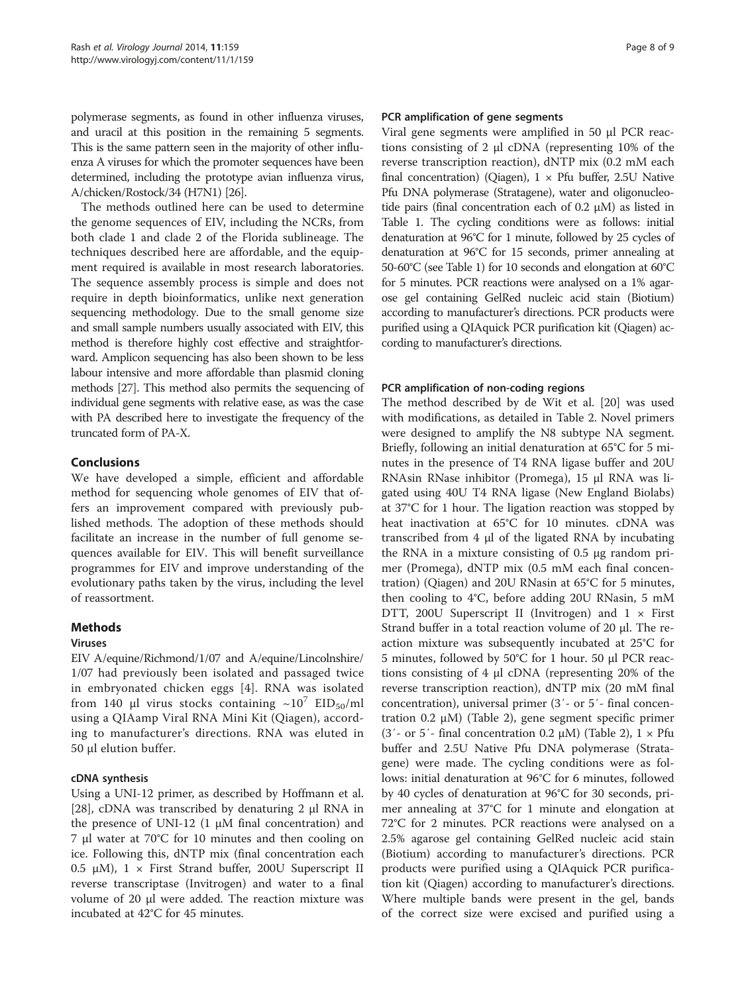polymerase segments, as found in other influenza viruses, and uracil at this position in the remaining 5 segments. This is the same pattern seen in the majority of other influenza A viruses for which the promoter sequences have been determined, including the prototype avian influenza virus, A/chicken/Rostock/34 (H7N1) [[26](#page-8-0)].

The methods outlined here can be used to determine the genome sequences of EIV, including the NCRs, from both clade 1 and clade 2 of the Florida sublineage. The techniques described here are affordable, and the equipment required is available in most research laboratories. The sequence assembly process is simple and does not require in depth bioinformatics, unlike next generation sequencing methodology. Due to the small genome size and small sample numbers usually associated with EIV, this method is therefore highly cost effective and straightforward. Amplicon sequencing has also been shown to be less labour intensive and more affordable than plasmid cloning methods [[27](#page-8-0)]. This method also permits the sequencing of individual gene segments with relative ease, as was the case with PA described here to investigate the frequency of the truncated form of PA-X.

# Conclusions

We have developed a simple, efficient and affordable method for sequencing whole genomes of EIV that offers an improvement compared with previously published methods. The adoption of these methods should facilitate an increase in the number of full genome sequences available for EIV. This will benefit surveillance programmes for EIV and improve understanding of the evolutionary paths taken by the virus, including the level of reassortment.

# **Methods**

# Viruses

EIV A/equine/Richmond/1/07 and A/equine/Lincolnshire/ 1/07 had previously been isolated and passaged twice in embryonated chicken eggs [\[4](#page-8-0)]. RNA was isolated from 140 μl virus stocks containing  $\sim 10^7$  EID<sub>50</sub>/ml using a QIAamp Viral RNA Mini Kit (Qiagen), according to manufacturer's directions. RNA was eluted in 50 μl elution buffer.

# cDNA synthesis

Using a UNI-12 primer, as described by Hoffmann et al. [[28\]](#page-8-0), cDNA was transcribed by denaturing 2 μl RNA in the presence of UNI-12  $(1 \mu M)$  final concentration) and 7 μl water at 70°C for 10 minutes and then cooling on ice. Following this, dNTP mix (final concentration each 0.5 μM),  $1 \times$  First Strand buffer, 200U Superscript II reverse transcriptase (Invitrogen) and water to a final volume of 20 μl were added. The reaction mixture was incubated at 42°C for 45 minutes.

# PCR amplification of gene segments

Viral gene segments were amplified in 50 μl PCR reactions consisting of 2 μl cDNA (representing 10% of the reverse transcription reaction), dNTP mix (0.2 mM each final concentration) (Qiagen),  $1 \times$  Pfu buffer, 2.5U Native Pfu DNA polymerase (Stratagene), water and oligonucleotide pairs (final concentration each of 0.2  $\mu$ M) as listed in Table [1](#page-3-0). The cycling conditions were as follows: initial denaturation at 96°C for 1 minute, followed by 25 cycles of denaturation at 96°C for 15 seconds, primer annealing at 50-60°C (see Table [1](#page-3-0)) for 10 seconds and elongation at 60°C for 5 minutes. PCR reactions were analysed on a 1% agarose gel containing GelRed nucleic acid stain (Biotium) according to manufacturer's directions. PCR products were purified using a QIAquick PCR purification kit (Qiagen) according to manufacturer's directions.

# PCR amplification of non-coding regions

The method described by de Wit et al. [[20](#page-8-0)] was used with modifications, as detailed in Table [2.](#page-5-0) Novel primers were designed to amplify the N8 subtype NA segment. Briefly, following an initial denaturation at 65°C for 5 minutes in the presence of T4 RNA ligase buffer and 20U RNAsin RNase inhibitor (Promega), 15 μl RNA was ligated using 40U T4 RNA ligase (New England Biolabs) at 37°C for 1 hour. The ligation reaction was stopped by heat inactivation at 65°C for 10 minutes. cDNA was transcribed from 4 μl of the ligated RNA by incubating the RNA in a mixture consisting of 0.5 μg random primer (Promega), dNTP mix (0.5 mM each final concentration) (Qiagen) and 20U RNasin at 65°C for 5 minutes, then cooling to 4°C, before adding 20U RNasin, 5 mM DTT, 200U Superscript II (Invitrogen) and  $1 \times$  First Strand buffer in a total reaction volume of 20 μl. The reaction mixture was subsequently incubated at 25°C for 5 minutes, followed by 50°C for 1 hour. 50 μl PCR reactions consisting of 4 μl cDNA (representing 20% of the reverse transcription reaction), dNTP mix (20 mM final concentration), universal primer (3′- or 5′- final concentration 0.2 μM) (Table [2](#page-5-0)), gene segment specific primer (3'- or 5'- final concentration 0.2  $\mu$ M) (Table [2\)](#page-5-0), 1  $\times$  Pfu buffer and 2.5U Native Pfu DNA polymerase (Stratagene) were made. The cycling conditions were as follows: initial denaturation at 96°C for 6 minutes, followed by 40 cycles of denaturation at 96°C for 30 seconds, primer annealing at 37°C for 1 minute and elongation at 72°C for 2 minutes. PCR reactions were analysed on a 2.5% agarose gel containing GelRed nucleic acid stain (Biotium) according to manufacturer's directions. PCR products were purified using a QIAquick PCR purification kit (Qiagen) according to manufacturer's directions. Where multiple bands were present in the gel, bands of the correct size were excised and purified using a